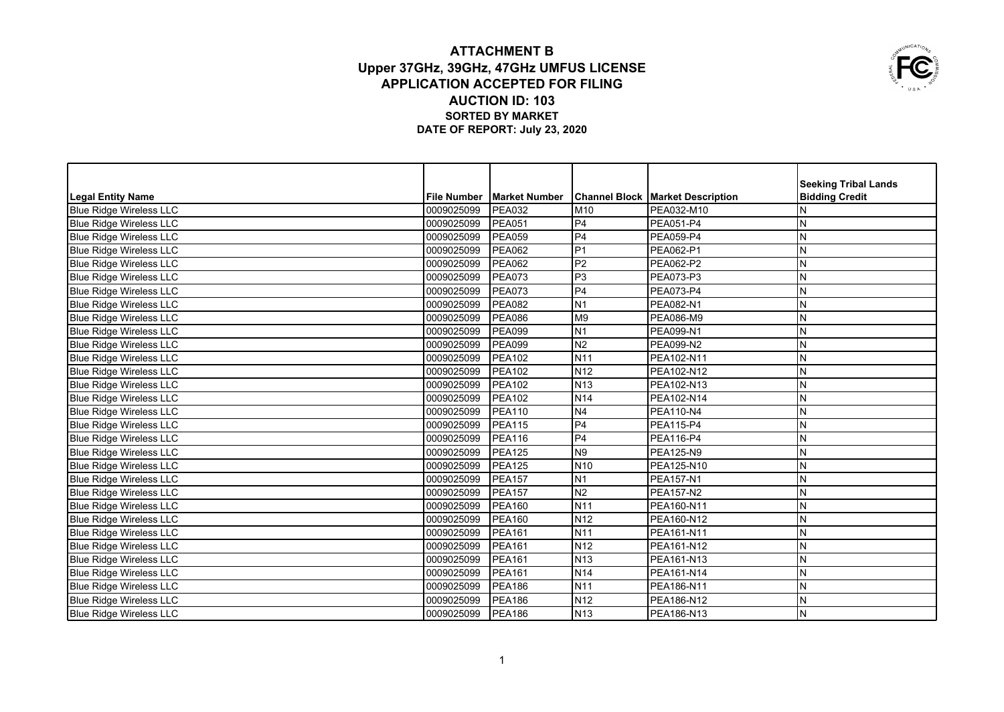## **ATTACHMENT B Upper 37GHz, 39GHz, 47GHz UMFUS LICENSE APPLICATION ACCEPTED FOR FILING AUCTION ID: 103 SORTED BY MARKET DATE OF REPORT: July 23, 2020**



|                                |                    |                      |                 |                                           | <b>Seeking Tribal Lands</b> |
|--------------------------------|--------------------|----------------------|-----------------|-------------------------------------------|-----------------------------|
| Legal Entity Name              | <b>File Number</b> | <b>Market Number</b> |                 | <b>Channel Block   Market Description</b> | <b>Bidding Credit</b>       |
| <b>Blue Ridge Wireless LLC</b> | 0009025099         | <b>PEA032</b>        | M10             | PEA032-M10                                | N                           |
| <b>Blue Ridge Wireless LLC</b> | 0009025099         | <b>PEA051</b>        | P4              | PEA051-P4                                 | N                           |
| <b>Blue Ridge Wireless LLC</b> | 0009025099         | <b>PEA059</b>        | P <sub>4</sub>  | <b>PEA059-P4</b>                          | N                           |
| <b>Blue Ridge Wireless LLC</b> | 0009025099         | <b>PEA062</b>        | P <sub>1</sub>  | PEA062-P1                                 | N                           |
| <b>Blue Ridge Wireless LLC</b> | 0009025099         | <b>PEA062</b>        | P <sub>2</sub>  | PEA062-P2                                 | N                           |
| <b>Blue Ridge Wireless LLC</b> | 0009025099         | <b>PEA073</b>        | P <sub>3</sub>  | PEA073-P3                                 | N                           |
| <b>Blue Ridge Wireless LLC</b> | 0009025099         | <b>PEA073</b>        | P <sub>4</sub>  | <b>PEA073-P4</b>                          | N                           |
| <b>Blue Ridge Wireless LLC</b> | 0009025099         | <b>PEA082</b>        | N <sub>1</sub>  | PEA082-N1                                 | N                           |
| <b>Blue Ridge Wireless LLC</b> | 0009025099         | <b>PEA086</b>        | M <sub>9</sub>  | PEA086-M9                                 | N                           |
| <b>Blue Ridge Wireless LLC</b> | 0009025099         | <b>PEA099</b>        | N <sub>1</sub>  | PEA099-N1                                 | N                           |
| <b>Blue Ridge Wireless LLC</b> | 0009025099         | <b>PEA099</b>        | N <sub>2</sub>  | PEA099-N2                                 | N                           |
| <b>Blue Ridge Wireless LLC</b> | 0009025099         | <b>PEA102</b>        | N <sub>11</sub> | PEA102-N11                                | N                           |
| <b>Blue Ridge Wireless LLC</b> | 0009025099         | <b>PEA102</b>        | N <sub>12</sub> | PEA102-N12                                | N                           |
| <b>Blue Ridge Wireless LLC</b> | 0009025099         | <b>PEA102</b>        | N <sub>13</sub> | PEA102-N13                                | $\mathsf{N}$                |
| <b>Blue Ridge Wireless LLC</b> | 0009025099         | <b>PEA102</b>        | N <sub>14</sub> | PEA102-N14                                | N                           |
| <b>Blue Ridge Wireless LLC</b> | 0009025099         | <b>PEA110</b>        | N <sub>4</sub>  | <b>PEA110-N4</b>                          | N                           |
| <b>Blue Ridge Wireless LLC</b> | 0009025099         | <b>PEA115</b>        | P <sub>4</sub>  | <b>PEA115-P4</b>                          | N                           |
| <b>Blue Ridge Wireless LLC</b> | 0009025099         | <b>PEA116</b>        | P <sub>4</sub>  | PEA116-P4                                 | N                           |
| <b>Blue Ridge Wireless LLC</b> | 0009025099         | <b>PEA125</b>        | N <sub>9</sub>  | PEA125-N9                                 | N                           |
| <b>Blue Ridge Wireless LLC</b> | 0009025099         | <b>PEA125</b>        | N <sub>10</sub> | PEA125-N10                                | N                           |
| <b>Blue Ridge Wireless LLC</b> | 0009025099         | <b>PEA157</b>        | N <sub>1</sub>  | <b>PEA157-N1</b>                          | N                           |
| Blue Ridge Wireless LLC        | 0009025099         | <b>PEA157</b>        | N <sub>2</sub>  | <b>PEA157-N2</b>                          | $\mathsf{N}$                |
| <b>Blue Ridge Wireless LLC</b> | 0009025099         | <b>PEA160</b>        | N <sub>11</sub> | PEA160-N11                                | ${\sf N}$                   |
| <b>Blue Ridge Wireless LLC</b> | 0009025099         | <b>PEA160</b>        | N <sub>12</sub> | PEA160-N12                                | N                           |
| <b>Blue Ridge Wireless LLC</b> | 0009025099         | <b>PEA161</b>        | N <sub>11</sub> | PEA161-N11                                | N                           |
| Blue Ridge Wireless LLC        | 0009025099         | <b>PEA161</b>        | N <sub>12</sub> | PEA161-N12                                | N                           |
| <b>Blue Ridge Wireless LLC</b> | 0009025099         | <b>PEA161</b>        | N <sub>13</sub> | PEA161-N13                                | N                           |
| <b>Blue Ridge Wireless LLC</b> | 0009025099         | <b>PEA161</b>        | N <sub>14</sub> | PEA161-N14                                | ${\sf N}$                   |
| <b>Blue Ridge Wireless LLC</b> | 0009025099         | <b>PEA186</b>        | N <sub>11</sub> | PEA186-N11                                | ${\sf N}$                   |
| Blue Ridge Wireless LLC        | 0009025099         | <b>PEA186</b>        | N <sub>12</sub> | PEA186-N12                                | ${\sf N}$                   |
| Blue Ridge Wireless LLC        | 10009025099        | PEA186               | <b>N</b> 13     | PEA186-N13                                | IN.                         |